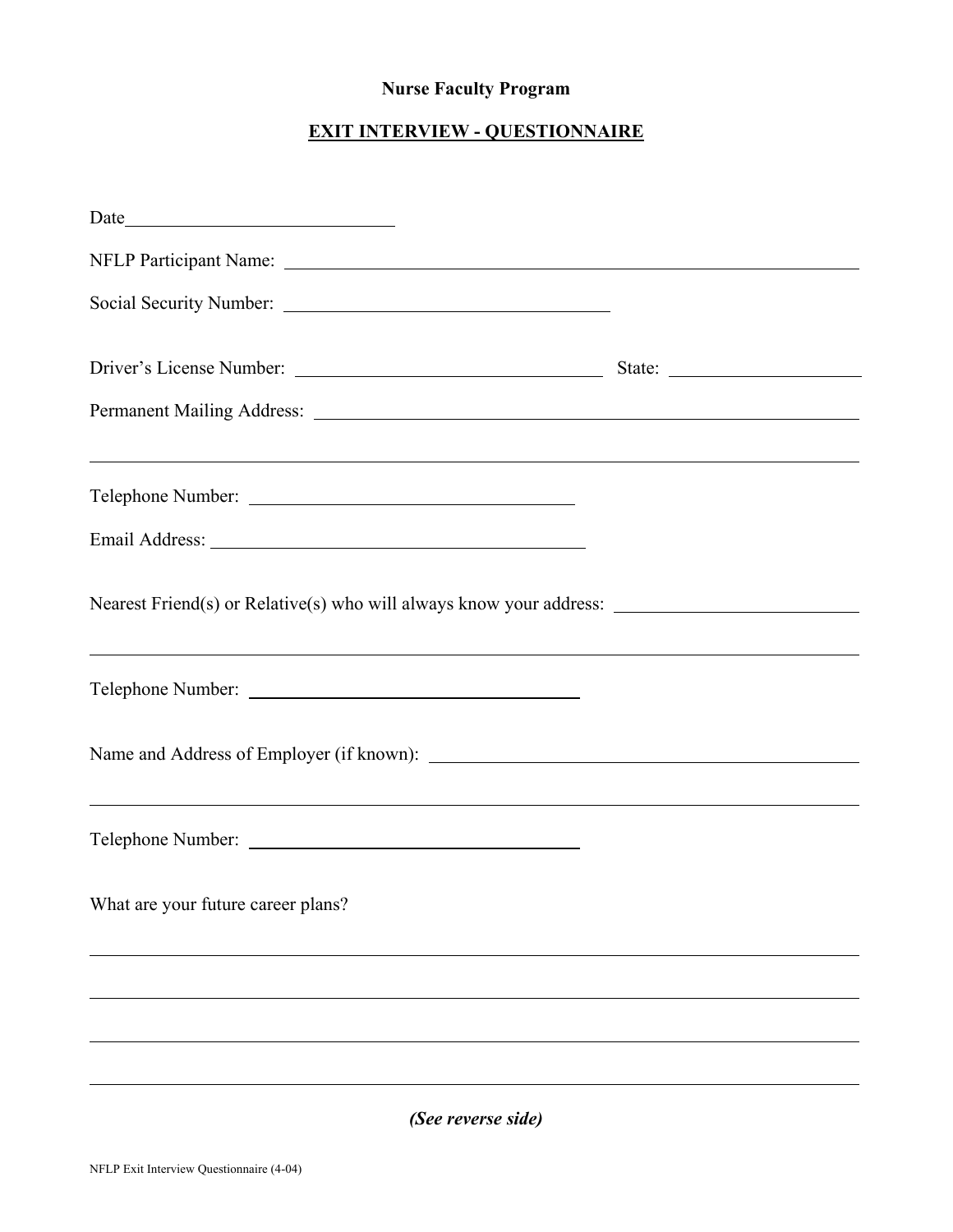## **Nurse Faculty Program**

## **EXIT INTERVIEW - QUESTIONNAIRE**

| Social Security Number:                                                                                                |  |
|------------------------------------------------------------------------------------------------------------------------|--|
|                                                                                                                        |  |
|                                                                                                                        |  |
| ,我们也不会有什么。""我们的人,我们也不会有什么?""我们的人,我们也不会有什么?""我们的人,我们也不会有什么?""我们的人,我们也不会有什么?""我们的人<br>Telephone Number:                  |  |
|                                                                                                                        |  |
|                                                                                                                        |  |
|                                                                                                                        |  |
|                                                                                                                        |  |
| <u> 1989 - André Maria de Maria de la característica de la característica de la característica de la característic</u> |  |
| What are your future career plans?                                                                                     |  |
|                                                                                                                        |  |
|                                                                                                                        |  |
|                                                                                                                        |  |
| (See reverse side)                                                                                                     |  |